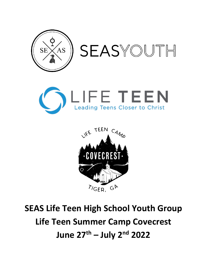





# **SEAS Life Teen High School Youth Group Life Teen Summer Camp Covecrest June 27th – July 2nd 2022**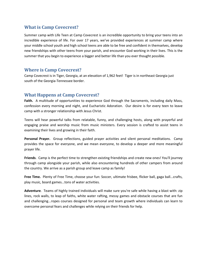## **What is Camp Covecrest?**

Summer camp with Life Teen at Camp Covecrest is an incredible opportunity to bring your teens into an incredible experience of life. For over 17 years, we've provided experiences at summer camp where your middle school youth and high school teens are able to be free and confident in themselves, develop new friendships with other teens from your parish, and encounter God working in their lives. This is the summer that you begin to experience a bigger and better life than you ever thought possible.

#### **Where is Camp Covecrest?**

Camp Covecrest is in Tiger, Georgia, at an elevation of 1,962 feet! Tiger is in northeast Georgia just south of the Georgia-Tennessee border.

#### **What Happens at Camp Covecrest?**

**Faith.** A multitude of opportunities to experience God through the Sacraments, including daily Mass, confession every morning and night, and Eucharistic Adoration. Our desire is for every teen to leave camp with a stronger relationship with Jesus Christ.

Teens will hear powerful talks from relatable, funny, and challenging hosts, along with prayerful and engaging praise and worship music from music ministers. Every session is crafted to assist teens in examining their lives and growing in their faith.

**Personal Prayer.** Group reflections, guided prayer activities and silent personal meditations. Camp provides the space for everyone, and we mean everyone, to develop a deeper and more meaningful prayer life.

**Friends**. Camp is the perfect time to strengthen existing friendships and create new ones! You'll journey through camp alongside your parish, while also encountering hundreds of other campers from around the country. We arrive as a parish group and leave camp as family!

**Free Time.** Plenty of Free Time, choose your fun: Soccer, ultimate frisbee, flicker ball, gaga ball...crafts, play music, board games...tons of water activities.

**Adventure**. Teams of highly trained individuals will make sure you're safe while having a blast with: zip lines, rock walls, to leap of faiths, white water rafting, messy games and obstacle courses that are fun and challenging...ropes courses designed for personal and team growth where individuals can learn to overcome personal fears and challenges while relying on their friends for help.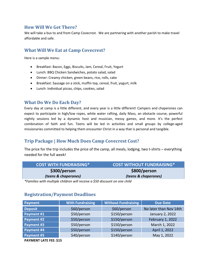## **How Will We Get There?**

We will take a bus to and from Camp Covecrest. We are partnering with another parish to make travel affordable and safe.

# **What Will We Eat at Camp Covecrest?**

Here is a sample menu:

- Breakfast: Bacon, Eggs, Biscuits, Jam, Cereal, Fruit, Yogurt
- Lunch: BBQ Chicken Sandwiches, potato salad, salad
- Dinner: Creamy chicken, green beans, rice, rolls, cake
- Breakfast: Sausage on a stick, muffin top, cereal, fruit, yogurt, milk
- Lunch: Individual pizzas, chips, cookies, salad

#### **What Do We Do Each Day?**

Every day at camp is a little different, and every year is a little different! Campers and chaperones can expect to participate in high/low ropes, white water rafting, daily Mass, an obstacle course, powerful nightly sessions led by a dynamic host and musician, messy games, and more. It's the perfect combination of faith and fun. Teens will be led in activities and small groups by college-aged missionaries committed to helping them encounter Christ in a way that is personal and tangible.

# **Trip Package | How Much Does Camp Covecrest Cost?**

The price for the trip includes the price of the camp, all meals, lodging, two t-shirts – everything needed for the full week!

| <b>COST WITH FUNDRAISING*</b> | COST WITHOUT FUNDRAISING* |
|-------------------------------|---------------------------|
| \$300/person                  | \$800/person              |
| (teens & chaperones)          | (teens & chaperones)      |

*\*Families with multiple children will receive a \$50 discount on one child*

## **Registration/Payment Deadlines**

| Payment        | <b>With Fundraising</b> | <b>Without Fundraising</b> | <b>Due Date</b>        |
|----------------|-------------------------|----------------------------|------------------------|
| <b>Deposit</b> | \$60/person             | \$60/person                | No later than Nov 14th |
| Payment #1     | \$50/person             | \$150/person               | January 2, 2022        |
| Payment #2     | \$50/person             | \$150/person               | February 1, 2022       |
| Payment #3     | \$50/person             | \$150/person               | March 1, 2022          |
| Payment #4     | \$50/person             | \$150/person               | April 1, 2022          |
| Payment #5     | \$40/person             | \$140/person               | May 1, 2022            |

**PAYMENT LATE FEE: \$15**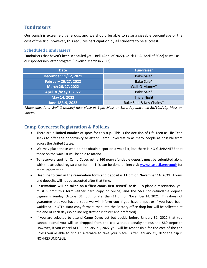# **Fundraisers**

Our parish is extremely generous, and we should be able to raise a sizeable percentage of the cost of the trip; however, this requires participation by all students to be successful.

#### **Scheduled Fundraisers**

Fundraisers that haven't been scheduled yet – Belk (April of 2022), Chick-Fil-A (April of 2022) as well as our sponsorship letter program (unveiled March in 2022).

| <b>Date</b>                 | <b>Fundraiser</b>       |  |
|-----------------------------|-------------------------|--|
| December 11/12, 2021        | Bake Sale*              |  |
| <b>February 26/27, 2022</b> | Bake Sale*              |  |
| March 26/27, 2022           | Wall-O-Money*           |  |
| April 30/May 1, 2022        | Bake Sale*              |  |
| May 14, 2022                | <b>Trivia Night</b>     |  |
| June 18/19, 2022            | Bake Sale & Key Chains* |  |

*\*Bake sales (and Wall-O-Money) take place at 4 pm Mass on Saturday and then 8a/10a/12p Mass on Sunday.*

# **Camp Covecrest Registration & Policies**

- There are a limited number of spots for this trip. This is the decision of Life Teen as Life Teen seeks to offer the opportunity to attend Camp Covecrest to as many people as possible from across the United States.
- We may place those who do not obtain a spot on a wait list, but there is NO GUARANTEE that those on the wait list will be able to attend.
- To reserve a spot for Camp Covecrest, a **\$60 non-refundable deposit** must be submitted along with the attached registration form. (This can be done online; visit [www.seaspcfl.org/youth](http://www.seaspcfl.org/youth) for more information.
- **Deadline to turn in the reservation form and deposit is 11 pm on November 14, 2021**. Forms and deposits will not be accepted after that time.
- **Reservations will be taken on a "first come, first served" basis.** To place a reservation, you must submit this form (either hard copy or online) and the \$60 non-refundable deposit beginning Sunday, October 31st but no later than 11 pm on November 14, 2021. This does not guarantee that you have a spot; we will inform you if you have a spot or if you have been waitlisted. NOTE: Hard copy forms turned into the Rectory office drop box will be collected at the end of each day (so online registration is faster and preferred).
- If you are selected to attend Camp Covecrest but decide before January 31, 2022 that you cannot attend you will be dropped from the trip without penalty (minus the \$60 deposit). However, if you cancel AFTER January 31, 2022 you will be responsible for the cost of the trip unless you're able to find an alternate to take your place. After January 31, 2022 the trip is NON-REFUNDABLE.